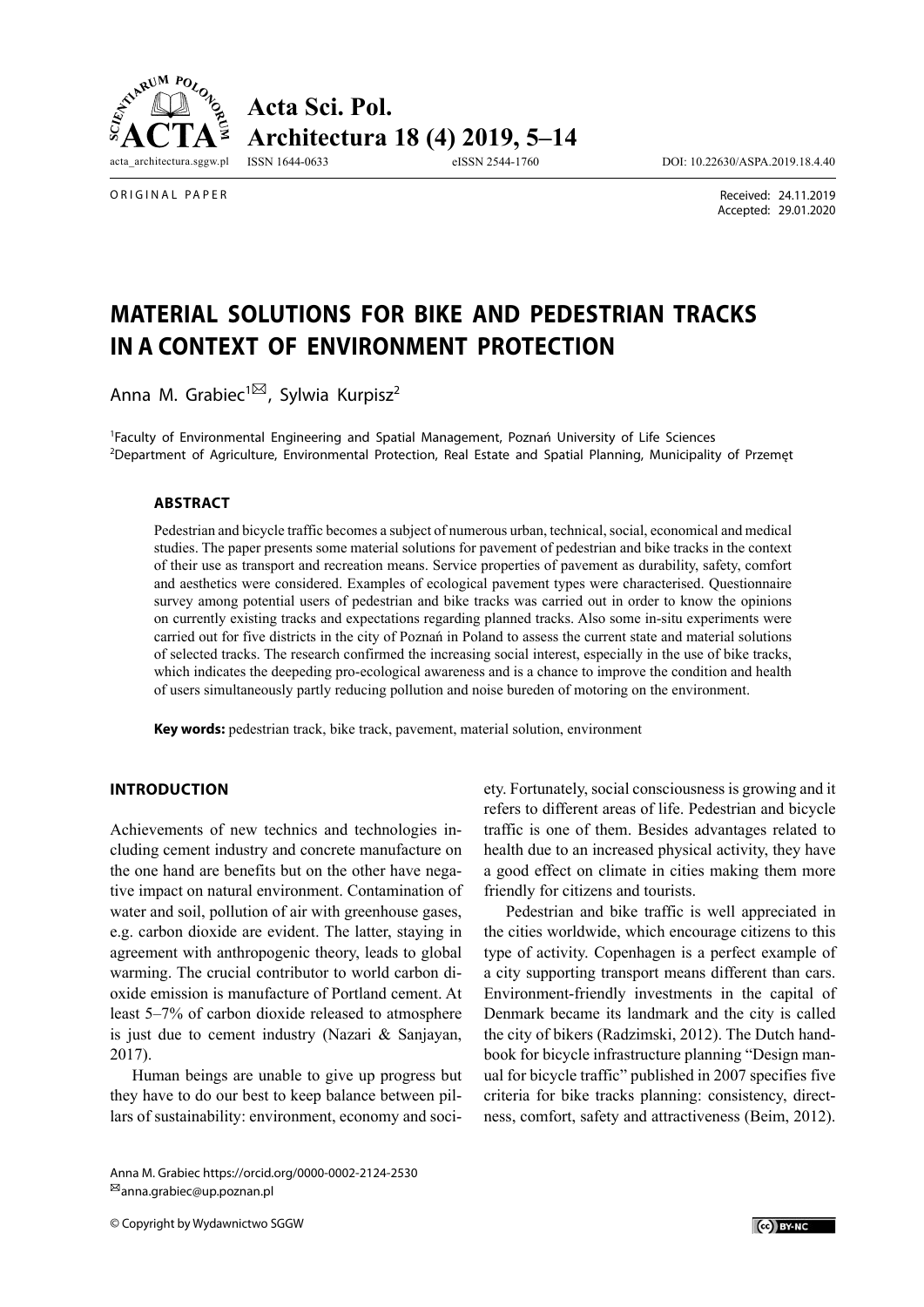



ORIGINAL PAPER

 Received: 24.11.2019 Accepted: 29.01.2020

# **MATERIAL SOLUTIONS FOR BIKE AND PEDESTRIAN TRACKS IN A CONTEXT OF ENVIRONMENT PROTECTION**

Anna M. Grabiec<sup>1<sup>[22]</sup>, Sylwia Kurpisz<sup>2</sup></sup>

1 Faculty of Environmental Engineering and Spatial Management, Poznań University of Life Sciences 2 Department of Agriculture, Environmental Protection, Real Estate and Spatial Planning, Municipality of Przemęt

#### **ABSTRACT**

Pedestrian and bicycle traffic becomes a subject of numerous urban, technical, social, economical and medical studies. The paper presents some material solutions for pavement of pedestrian and bike tracks in the context of their use as transport and recreation means. Service properties of pavement as durability, safety, comfort and aesthetics were considered. Examples of ecological pavement types were characterised. Questionnaire survey among potential users of pedestrian and bike tracks was carried out in order to know the opinions on currently existing tracks and expectations regarding planned tracks. Also some in-situ experiments were carried out for five districts in the city of Poznań in Poland to assess the current state and material solutions of selected tracks. The research confirmed the increasing social interest, especially in the use of bike tracks, which indicates the deepeding pro-ecological awareness and is a chance to improve the condition and health of users simultaneously partly reducing pollution and noise bureden of motoring on the environment.

**Key words:** pedestrian track, bike track, pavement, material solution, environment

## **INTRODUCTION**

Achievements of new technics and technologies including cement industry and concrete manufacture on the one hand are benefits but on the other have negative impact on natural environment. Contamination of water and soil, pollution of air with greenhouse gases, e.g. carbon dioxide are evident. The latter, staying in agreement with anthropogenic theory, leads to global warming. The crucial contributor to world carbon dioxide emission is manufacture of Portland cement. At least 5–7% of carbon dioxide released to atmosphere is just due to cement industry (Nazari & Sanjayan, 2017).

Human beings are unable to give up progress but they have to do our best to keep balance between pillars of sustainability: environment, economy and soci-

Anna M. Grabiec https://orcid.org/0000-0002-2124-2530 anna.grabiec@up.poznan.pl

© Copyright by Wydawnictwo SGGW

ety. Fortunately, social consciousness is growing and it refers to different areas of life. Pedestrian and bicycle traffic is one of them. Besides advantages related to health due to an increased physical activity, they have a good effect on climate in cities making them more friendly for citizens and tourists.

Pedestrian and bike traffic is well appreciated in the cities worldwide, which encourage citizens to this type of activity. Copenhagen is a perfect example of a city supporting transport means different than cars. Environment-friendly investments in the capital of Denmark became its landmark and the city is called the city of bikers (Radzimski, 2012). The Dutch handbook for bicycle infrastructure planning "Design manual for bicycle traffic" published in 2007 specifies five criteria for bike tracks planning: consistency, directness, comfort, safety and attractiveness (Beim, 2012).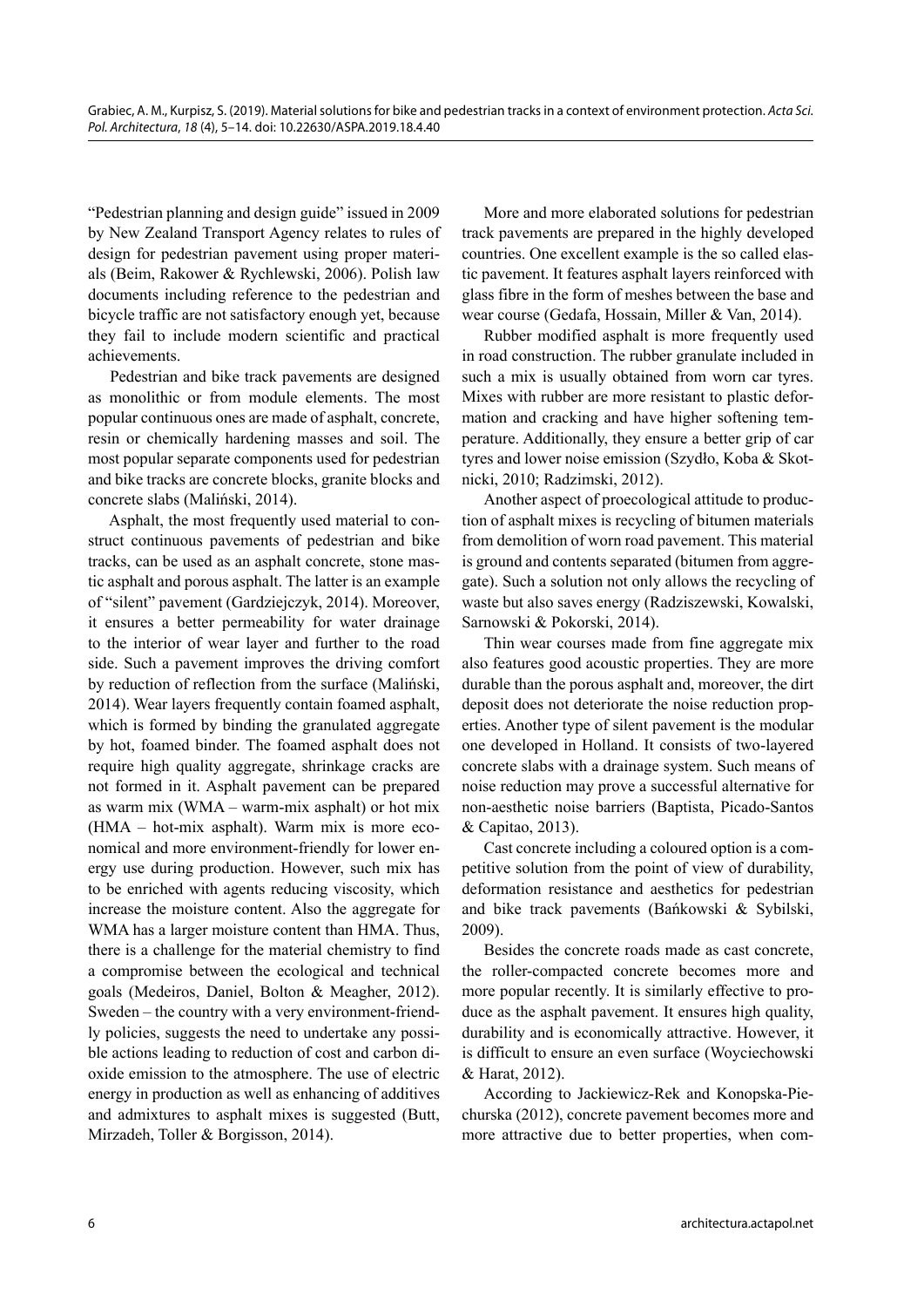"Pedestrian planning and design guide" issued in 2009 by New Zealand Transport Agency relates to rules of design for pedestrian pavement using proper materials (Beim, Rakower & Rychlewski, 2006). Polish law documents including reference to the pedestrian and bicycle traffic are not satisfactory enough yet, because they fail to include modern scientific and practical achievements.

Pedestrian and bike track pavements are designed as monolithic or from module elements. The most popular continuous ones are made of asphalt, concrete, resin or chemically hardening masses and soil. The most popular separate components used for pedestrian and bike tracks are concrete blocks, granite blocks and concrete slabs (Maliński, 2014).

Asphalt, the most frequently used material to construct continuous pavements of pedestrian and bike tracks, can be used as an asphalt concrete, stone mastic asphalt and porous asphalt. The latter is an example of "silent" pavement (Gardziejczyk, 2014). Moreover, it ensures a better permeability for water drainage to the interior of wear layer and further to the road side. Such a pavement improves the driving comfort by reduction of reflection from the surface (Maliński, 2014). Wear layers frequently contain foamed asphalt, which is formed by binding the granulated aggregate by hot, foamed binder. The foamed asphalt does not require high quality aggregate, shrinkage cracks are not formed in it. Asphalt pavement can be prepared as warm mix (WMA – warm-mix asphalt) or hot mix (HMA – hot-mix asphalt). Warm mix is more economical and more environment-friendly for lower energy use during production. However, such mix has to be enriched with agents reducing viscosity, which increase the moisture content. Also the aggregate for WMA has a larger moisture content than HMA. Thus, there is a challenge for the material chemistry to find a compromise between the ecological and technical goals (Medeiros, Daniel, Bolton & Meagher, 2012). Sweden – the country with a very environment-friendly policies, suggests the need to undertake any possible actions leading to reduction of cost and carbon dioxide emission to the atmosphere. The use of electric energy in production as well as enhancing of additives and admixtures to asphalt mixes is suggested (Butt, Mirzadeh, Toller & Borgisson, 2014).

More and more elaborated solutions for pedestrian track pavements are prepared in the highly developed countries. One excellent example is the so called elastic pavement. It features asphalt layers reinforced with glass fibre in the form of meshes between the base and wear course (Gedafa, Hossain, Miller & Van, 2014).

Rubber modified asphalt is more frequently used in road construction. The rubber granulate included in such a mix is usually obtained from worn car tyres. Mixes with rubber are more resistant to plastic deformation and cracking and have higher softening temperature. Additionally, they ensure a better grip of car tyres and lower noise emission (Szydło, Koba & Skotnicki, 2010; Radzimski, 2012).

Another aspect of proecological attitude to production of asphalt mixes is recycling of bitumen materials from demolition of worn road pavement. This material is ground and contents separated (bitumen from aggregate). Such a solution not only allows the recycling of waste but also saves energy (Radziszewski, Kowalski, Sarnowski & Pokorski, 2014).

Thin wear courses made from fine aggregate mix also features good acoustic properties. They are more durable than the porous asphalt and, moreover, the dirt deposit does not deteriorate the noise reduction properties. Another type of silent pavement is the modular one developed in Holland. It consists of two-layered concrete slabs with a drainage system. Such means of noise reduction may prove a successful alternative for non-aesthetic noise barriers (Baptista, Picado-Santos & Capitao, 2013).

Cast concrete including a coloured option is a competitive solution from the point of view of durability, deformation resistance and aesthetics for pedestrian and bike track pavements (Bańkowski & Sybilski, 2009).

Besides the concrete roads made as cast concrete, the roller-compacted concrete becomes more and more popular recently. It is similarly effective to produce as the asphalt pavement. It ensures high quality, durability and is economically attractive. However, it is difficult to ensure an even surface (Woyciechowski & Harat, 2012).

According to Jackiewicz-Rek and Konopska-Piechurska (2012), concrete pavement becomes more and more attractive due to better properties, when com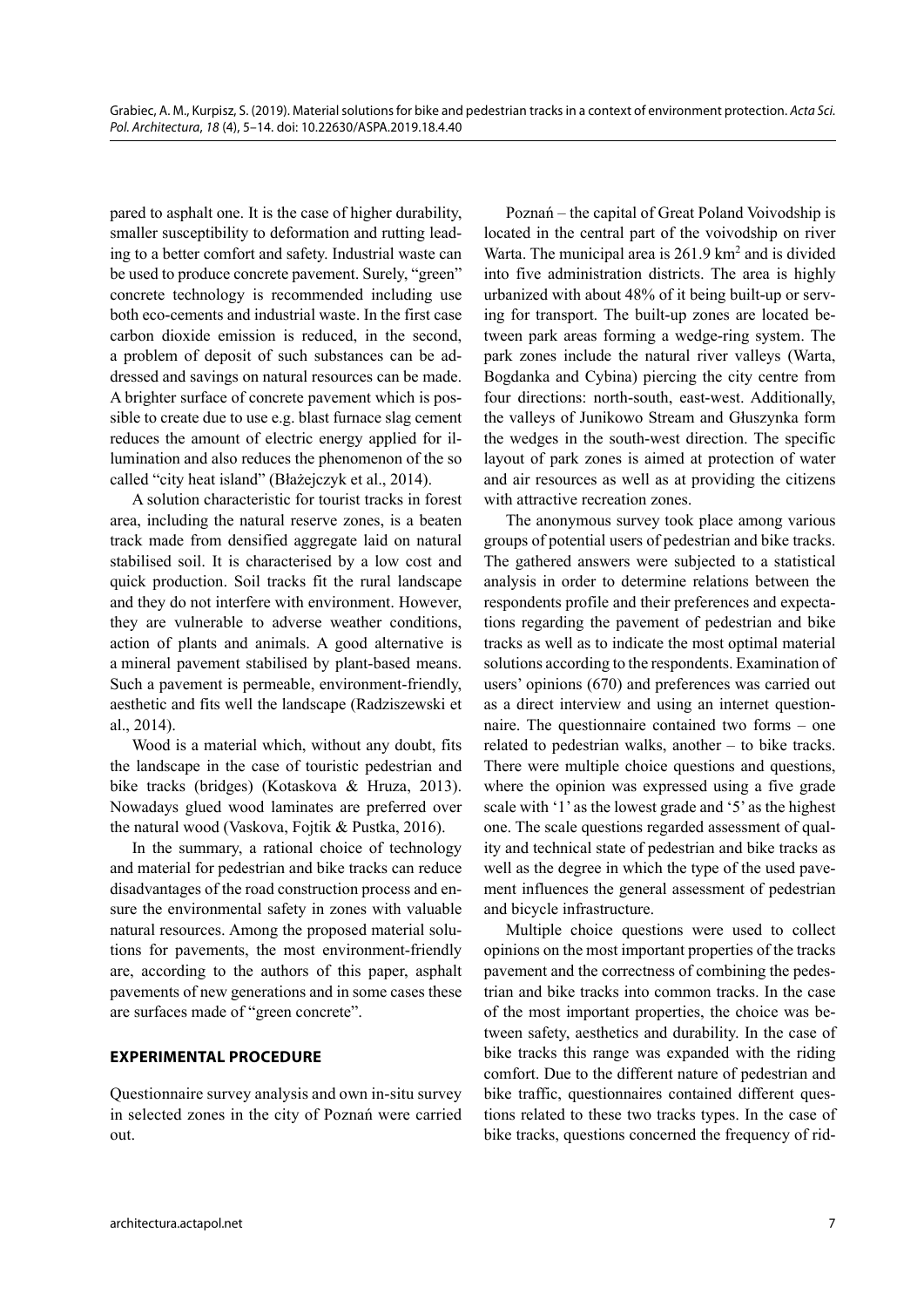pared to asphalt one. It is the case of higher durability, smaller susceptibility to deformation and rutting leading to a better comfort and safety. Industrial waste can be used to produce concrete pavement. Surely, "green" concrete technology is recommended including use both eco-cements and industrial waste. In the first case carbon dioxide emission is reduced, in the second, a problem of deposit of such substances can be addressed and savings on natural resources can be made. A brighter surface of concrete pavement which is possible to create due to use e.g. blast furnace slag cement reduces the amount of electric energy applied for illumination and also reduces the phenomenon of the so called "city heat island" (Błażejczyk et al., 2014).

A solution characteristic for tourist tracks in forest area, including the natural reserve zones, is a beaten track made from densified aggregate laid on natural stabilised soil. It is characterised by a low cost and quick production. Soil tracks fit the rural landscape and they do not interfere with environment. However, they are vulnerable to adverse weather conditions, action of plants and animals. A good alternative is a mineral pavement stabilised by plant-based means. Such a pavement is permeable, environment-friendly, aesthetic and fits well the landscape (Radziszewski et al., 2014).

Wood is a material which, without any doubt, fits the landscape in the case of touristic pedestrian and bike tracks (bridges) (Kotaskova & Hruza, 2013). Nowadays glued wood laminates are preferred over the natural wood (Vaskova, Fojtik & Pustka, 2016).

In the summary, a rational choice of technology and material for pedestrian and bike tracks can reduce disadvantages of the road construction process and ensure the environmental safety in zones with valuable natural resources. Among the proposed material solutions for pavements, the most environment-friendly are, according to the authors of this paper, asphalt pavements of new generations and in some cases these are surfaces made of "green concrete".

## **EXPERIMENTAL PROCEDURE**

Questionnaire survey analysis and own in-situ survey in selected zones in the city of Poznań were carried out.

Poznań – the capital of Great Poland Voivodship is located in the central part of the voivodship on river Warta. The municipal area is 261.9 km<sup>2</sup> and is divided into five administration districts. The area is highly urbanized with about 48% of it being built-up or serving for transport. The built-up zones are located between park areas forming a wedge-ring system. The park zones include the natural river valleys (Warta, Bogdanka and Cybina) piercing the city centre from four directions: north-south, east-west. Additionally, the valleys of Junikowo Stream and Głuszynka form the wedges in the south-west direction. The specific layout of park zones is aimed at protection of water and air resources as well as at providing the citizens with attractive recreation zones.

The anonymous survey took place among various groups of potential users of pedestrian and bike tracks. The gathered answers were subjected to a statistical analysis in order to determine relations between the respondents profile and their preferences and expectations regarding the pavement of pedestrian and bike tracks as well as to indicate the most optimal material solutions according to the respondents. Examination of users' opinions (670) and preferences was carried out as a direct interview and using an internet questionnaire. The questionnaire contained two forms – one related to pedestrian walks, another – to bike tracks. There were multiple choice questions and questions, where the opinion was expressed using a five grade scale with '1' as the lowest grade and '5' as the highest one. The scale questions regarded assessment of quality and technical state of pedestrian and bike tracks as well as the degree in which the type of the used pavement influences the general assessment of pedestrian and bicycle infrastructure.

Multiple choice questions were used to collect opinions on the most important properties of the tracks pavement and the correctness of combining the pedestrian and bike tracks into common tracks. In the case of the most important properties, the choice was between safety, aesthetics and durability. In the case of bike tracks this range was expanded with the riding comfort. Due to the different nature of pedestrian and bike traffic, questionnaires contained different questions related to these two tracks types. In the case of bike tracks, questions concerned the frequency of rid-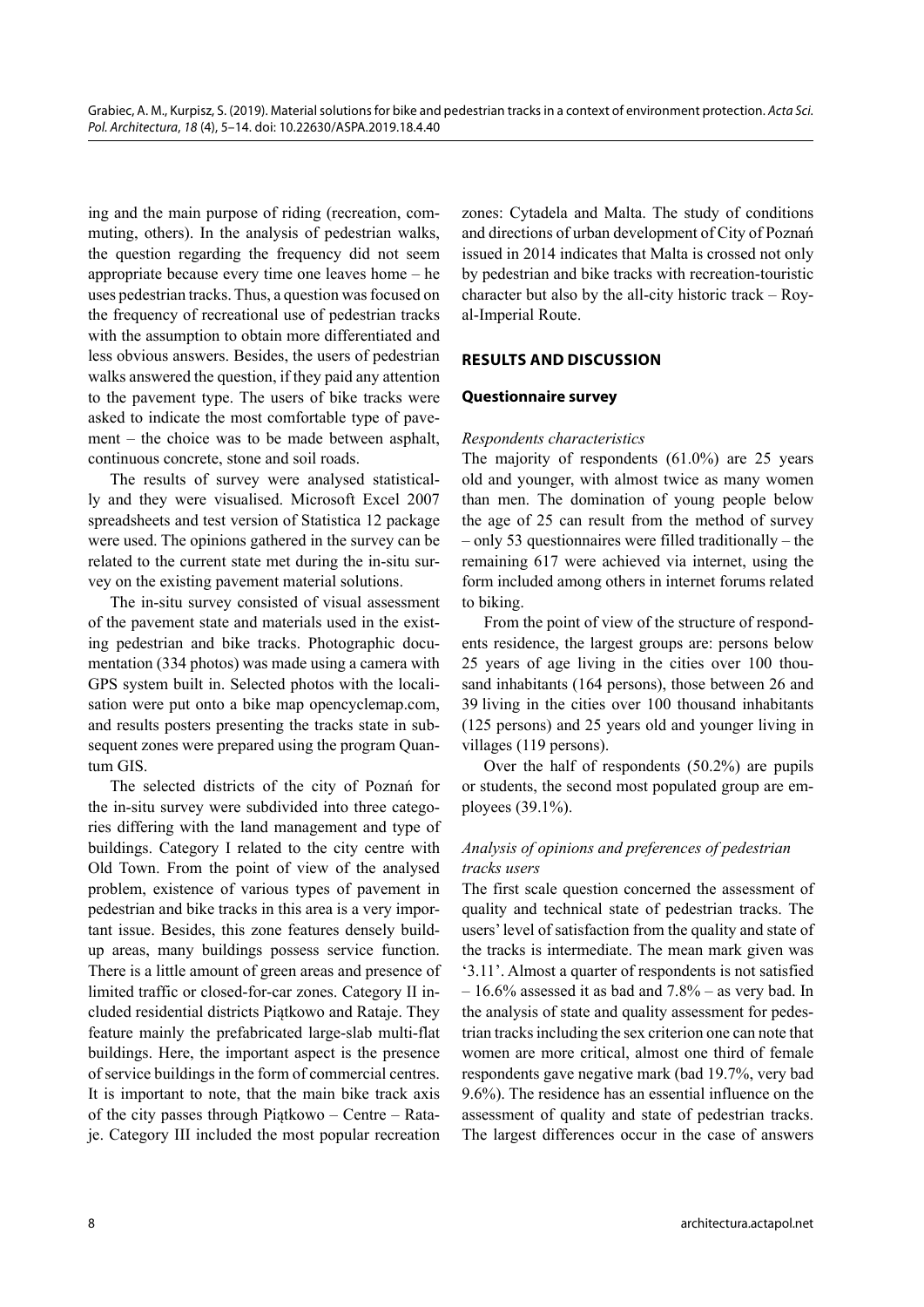ing and the main purpose of riding (recreation, commuting, others). In the analysis of pedestrian walks, the question regarding the frequency did not seem appropriate because every time one leaves home – he uses pedestrian tracks. Thus, a question was focused on the frequency of recreational use of pedestrian tracks with the assumption to obtain more differentiated and less obvious answers. Besides, the users of pedestrian walks answered the question, if they paid any attention to the pavement type. The users of bike tracks were asked to indicate the most comfortable type of pavement – the choice was to be made between asphalt, continuous concrete, stone and soil roads.

The results of survey were analysed statistically and they were visualised. Microsoft Excel 2007 spreadsheets and test version of Statistica 12 package were used. The opinions gathered in the survey can be related to the current state met during the in-situ survey on the existing pavement material solutions.

The in-situ survey consisted of visual assessment of the pavement state and materials used in the existing pedestrian and bike tracks. Photographic documentation (334 photos) was made using a camera with GPS system built in. Selected photos with the localisation were put onto a bike map opencyclemap.com, and results posters presenting the tracks state in subsequent zones were prepared using the program Quantum GIS.

The selected districts of the city of Poznań for the in-situ survey were subdivided into three categories differing with the land management and type of buildings. Category I related to the city centre with Old Town. From the point of view of the analysed problem, existence of various types of pavement in pedestrian and bike tracks in this area is a very important issue. Besides, this zone features densely buildup areas, many buildings possess service function. There is a little amount of green areas and presence of limited traffic or closed-for-car zones. Category II included residential districts Piątkowo and Rataje. They feature mainly the prefabricated large-slab multi-flat buildings. Here, the important aspect is the presence of service buildings in the form of commercial centres. It is important to note, that the main bike track axis of the city passes through Piątkowo – Centre – Rataje. Category III included the most popular recreation

zones: Cytadela and Malta. The study of conditions and directions of urban development of City of Poznań issued in 2014 indicates that Malta is crossed not only by pedestrian and bike tracks with recreation-touristic character but also by the all-city historic track – Royal-Imperial Route.

## **RESULTS AND DISCUSSION**

### **Questionnaire survey**

### *Respondents characteristics*

The majority of respondents (61.0%) are 25 years old and younger, with almost twice as many women than men. The domination of young people below the age of 25 can result from the method of survey – only 53 questionnaires were filled traditionally – the remaining 617 were achieved via internet, using the form included among others in internet forums related to biking.

From the point of view of the structure of respondents residence, the largest groups are: persons below 25 years of age living in the cities over 100 thousand inhabitants (164 persons), those between 26 and 39 living in the cities over 100 thousand inhabitants (125 persons) and 25 years old and younger living in villages (119 persons).

Over the half of respondents (50.2%) are pupils or students, the second most populated group are employees (39.1%).

# *Analysis of opinions and preferences of pedestrian tracks users*

The first scale question concerned the assessment of quality and technical state of pedestrian tracks. The users' level of satisfaction from the quality and state of the tracks is intermediate. The mean mark given was '3.11'. Almost a quarter of respondents is not satisfied  $-16.6\%$  assessed it as bad and  $7.8\%$  – as very bad. In the analysis of state and quality assessment for pedestrian tracks including the sex criterion one can note that women are more critical, almost one third of female respondents gave negative mark (bad 19.7%, very bad 9.6%). The residence has an essential influence on the assessment of quality and state of pedestrian tracks. The largest differences occur in the case of answers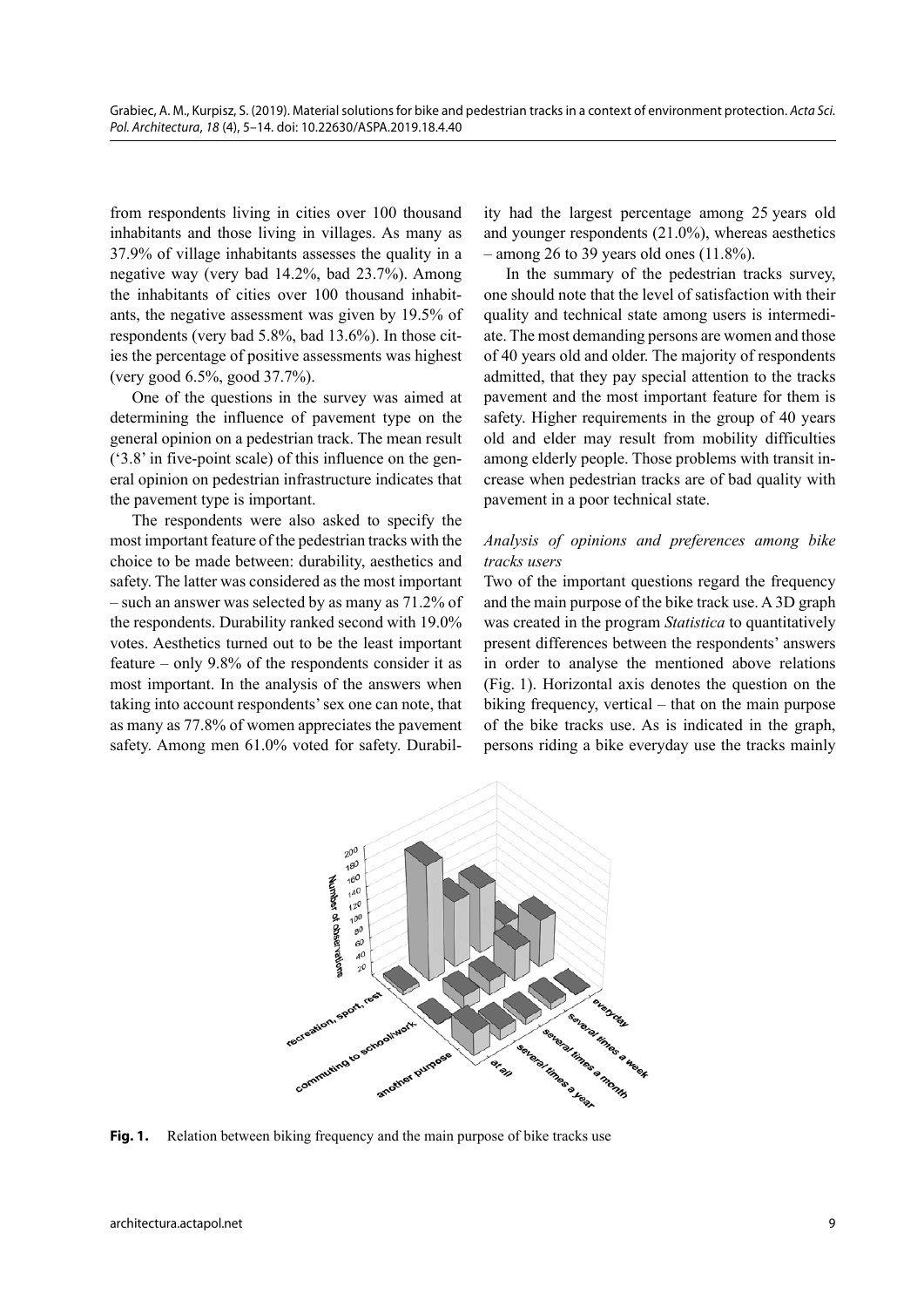from respondents living in cities over 100 thousand inhabitants and those living in villages. As many as 37.9% of village inhabitants assesses the quality in a negative way (very bad 14.2%, bad 23.7%). Among the inhabitants of cities over 100 thousand inhabitants, the negative assessment was given by 19.5% of respondents (very bad 5.8%, bad 13.6%). In those cities the percentage of positive assessments was highest (very good 6.5%, good 37.7%).

One of the questions in the survey was aimed at determining the influence of pavement type on the general opinion on a pedestrian track. The mean result ('3.8' in five-point scale) of this influence on the general opinion on pedestrian infrastructure indicates that the pavement type is important.

The respondents were also asked to specify the most important feature of the pedestrian tracks with the choice to be made between: durability, aesthetics and safety. The latter was considered as the most important – such an answer was selected by as many as 71.2% of the respondents. Durability ranked second with 19.0% votes. Aesthetics turned out to be the least important feature – only 9.8% of the respondents consider it as most important. In the analysis of the answers when taking into account respondents' sex one can note, that as many as 77.8% of women appreciates the pavement safety. Among men 61.0% voted for safety. Durability had the largest percentage among 25 years old and younger respondents (21.0%), whereas aesthetics  $-$  among 26 to 39 years old ones (11.8%).

In the summary of the pedestrian tracks survey, one should note that the level of satisfaction with their quality and technical state among users is intermediate. The most demanding persons are women and those of 40 years old and older. The majority of respondents admitted, that they pay special attention to the tracks pavement and the most important feature for them is safety. Higher requirements in the group of 40 years old and elder may result from mobility difficulties among elderly people. Those problems with transit increase when pedestrian tracks are of bad quality with pavement in a poor technical state.

## *Analysis of opinions and preferences among bike tracks users*

Two of the important questions regard the frequency and the main purpose of the bike track use. A 3D graph was created in the program *Statistica* to quantitatively present differences between the respondents' answers in order to analyse the mentioned above relations (Fig. 1). Horizontal axis denotes the question on the biking frequency, vertical – that on the main purpose of the bike tracks use. As is indicated in the graph, persons riding a bike everyday use the tracks mainly



**Fig. 1.** Relation between biking frequency and the main purpose of bike tracks use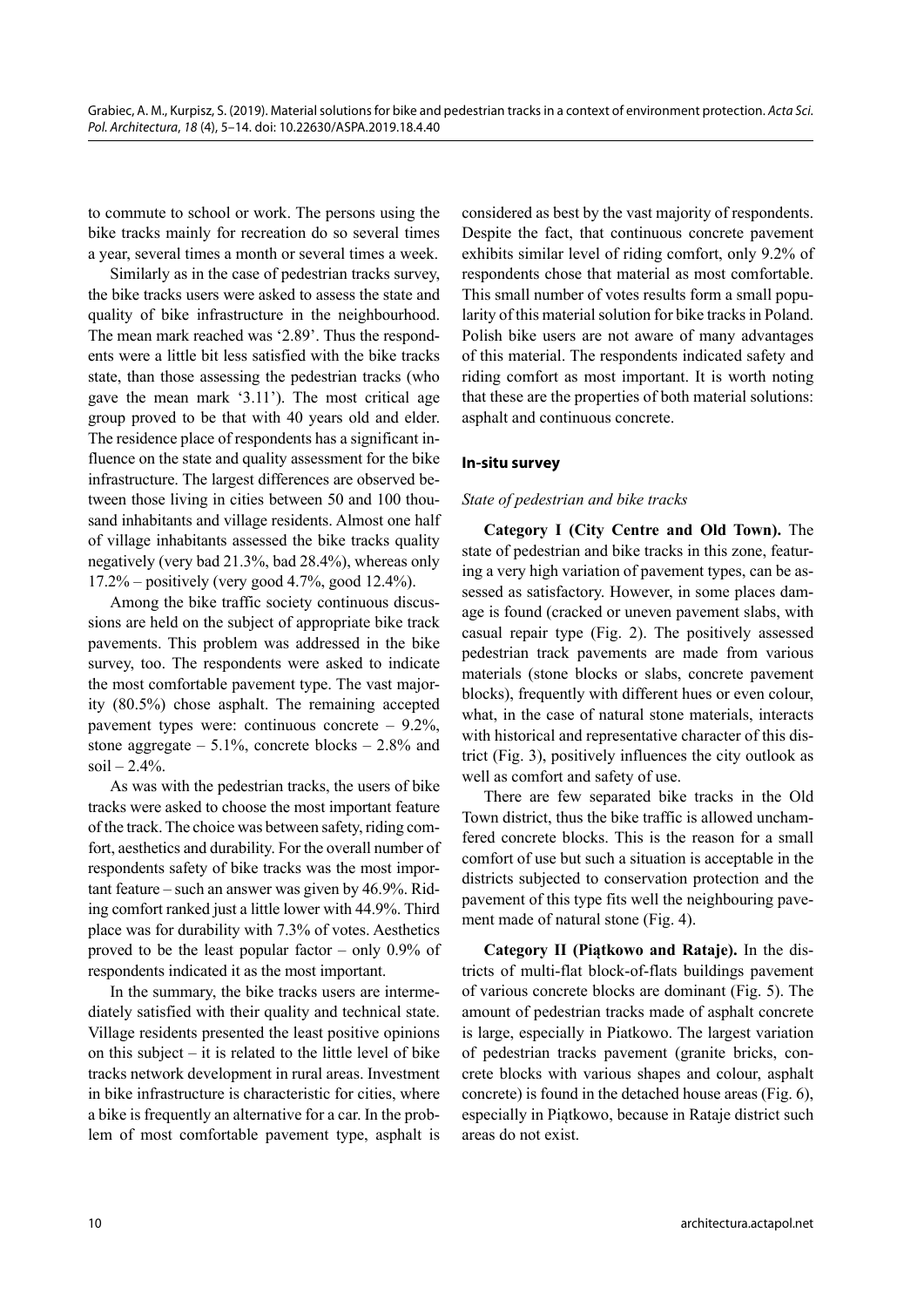to commute to school or work. The persons using the bike tracks mainly for recreation do so several times a year, several times a month or several times a week.

Similarly as in the case of pedestrian tracks survey, the bike tracks users were asked to assess the state and quality of bike infrastructure in the neighbourhood. The mean mark reached was '2.89'. Thus the respondents were a little bit less satisfied with the bike tracks state, than those assessing the pedestrian tracks (who gave the mean mark '3.11'). The most critical age group proved to be that with 40 years old and elder. The residence place of respondents has a significant influence on the state and quality assessment for the bike infrastructure. The largest differences are observed between those living in cities between 50 and 100 thousand inhabitants and village residents. Almost one half of village inhabitants assessed the bike tracks quality negatively (very bad 21.3%, bad 28.4%), whereas only 17.2% – positively (very good 4.7%, good 12.4%).

Among the bike traffic society continuous discussions are held on the subject of appropriate bike track pavements. This problem was addressed in the bike survey, too. The respondents were asked to indicate the most comfortable pavement type. The vast majority (80.5%) chose asphalt. The remaining accepted pavement types were: continuous concrete – 9.2%, stone aggregate  $-5.1\%$ , concrete blocks  $-2.8\%$  and  $soil - 2.4\%$ .

As was with the pedestrian tracks, the users of bike tracks were asked to choose the most important feature of the track. The choice was between safety, riding comfort, aesthetics and durability. For the overall number of respondents safety of bike tracks was the most important feature – such an answer was given by 46.9%. Riding comfort ranked just a little lower with 44.9%. Third place was for durability with 7.3% of votes. Aesthetics proved to be the least popular factor – only 0.9% of respondents indicated it as the most important.

In the summary, the bike tracks users are intermediately satisfied with their quality and technical state. Village residents presented the least positive opinions on this subject – it is related to the little level of bike tracks network development in rural areas. Investment in bike infrastructure is characteristic for cities, where a bike is frequently an alternative for a car. In the problem of most comfortable pavement type, asphalt is considered as best by the vast majority of respondents. Despite the fact, that continuous concrete pavement exhibits similar level of riding comfort, only 9.2% of respondents chose that material as most comfortable. This small number of votes results form a small popularity of this material solution for bike tracks in Poland. Polish bike users are not aware of many advantages of this material. The respondents indicated safety and riding comfort as most important. It is worth noting that these are the properties of both material solutions: asphalt and continuous concrete.

## **In-situ survey**

### *State of pedestrian and bike tracks*

**Category I (City Centre and Old Town).** The state of pedestrian and bike tracks in this zone, featuring a very high variation of pavement types, can be assessed as satisfactory. However, in some places damage is found (cracked or uneven pavement slabs, with casual repair type (Fig. 2). The positively assessed pedestrian track pavements are made from various materials (stone blocks or slabs, concrete pavement blocks), frequently with different hues or even colour, what, in the case of natural stone materials, interacts with historical and representative character of this district (Fig. 3), positively influences the city outlook as well as comfort and safety of use.

There are few separated bike tracks in the Old Town district, thus the bike traffic is allowed unchamfered concrete blocks. This is the reason for a small comfort of use but such a situation is acceptable in the districts subjected to conservation protection and the pavement of this type fits well the neighbouring pavement made of natural stone (Fig. 4).

**Category II (Piątkowo and Rataje).** In the districts of multi-flat block-of-flats buildings pavement of various concrete blocks are dominant (Fig. 5). The amount of pedestrian tracks made of asphalt concrete is large, especially in Piatkowo. The largest variation of pedestrian tracks pavement (granite bricks, concrete blocks with various shapes and colour, asphalt concrete) is found in the detached house areas (Fig. 6), especially in Piątkowo, because in Rataje district such areas do not exist.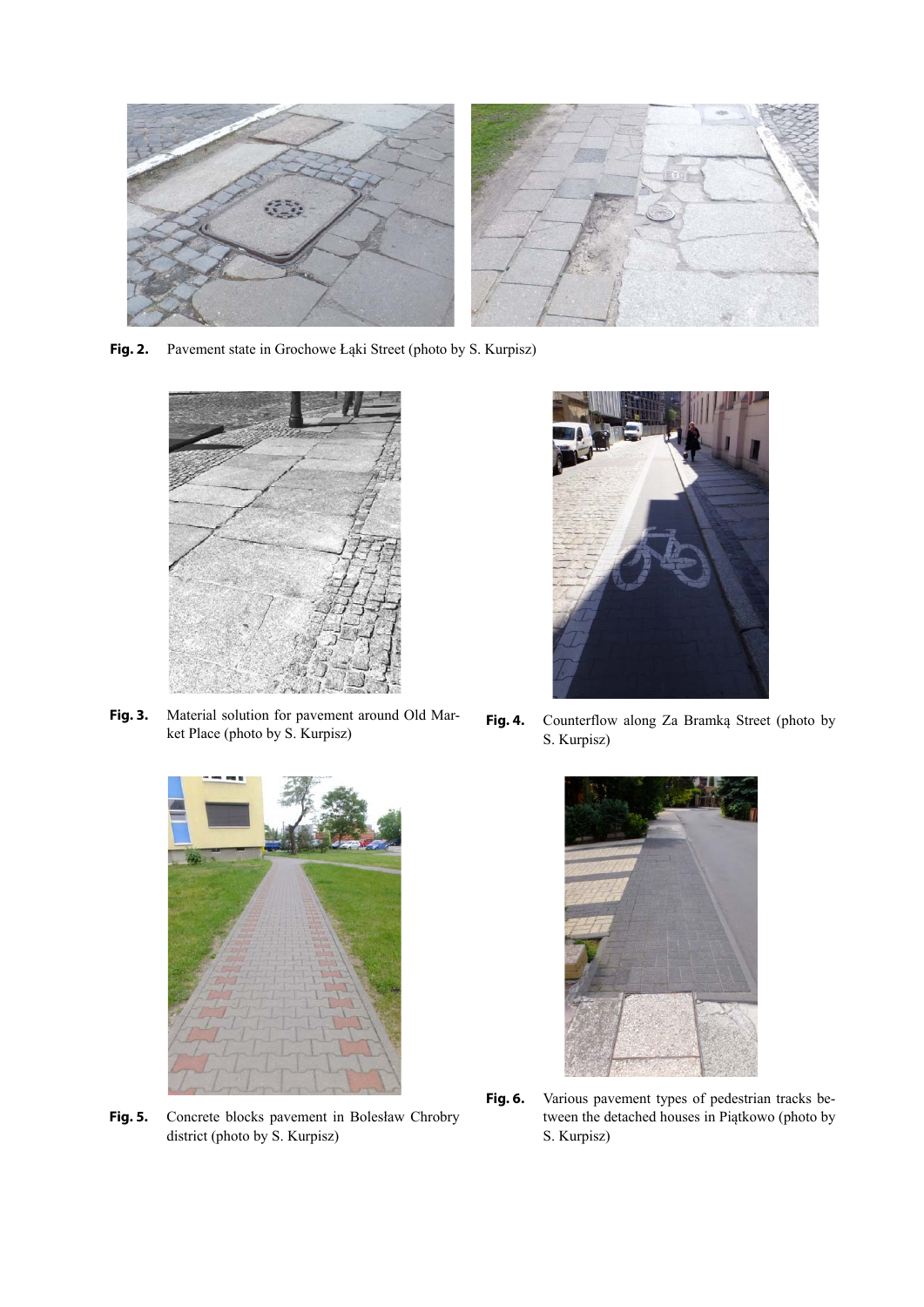

**Fig. 2.** Pavement state in Grochowe Łąki Street (photo by S. Kurpisz)



**Fig. 3.** Material solution for pavement around Old Market Place (photo by S. Kurpisz)



Fig. 5. Concrete blocks pavement in Bolesław Chrobry district (photo by S. Kurpisz)



Fig. 4. Counterflow along Za Bramką Street (photo by S. Kurpisz)



**Fig. 6.** Various pavement types of pedestrian tracks between the detached houses in Piątkowo (photo by S. Kurpisz)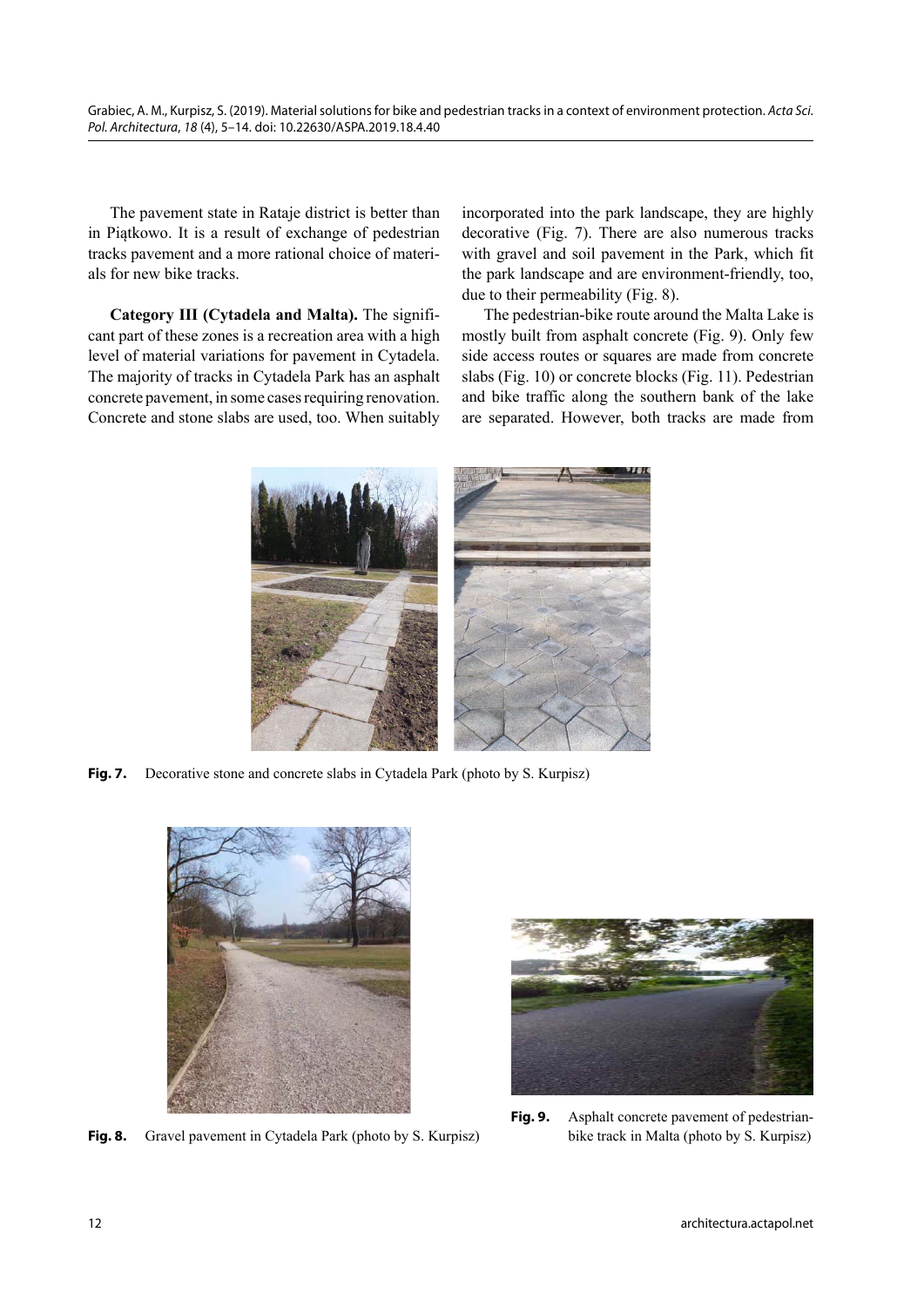The pavement state in Rataje district is better than in Piątkowo. It is a result of exchange of pedestrian tracks pavement and a more rational choice of materials for new bike tracks.

**Category III (Cytadela and Malta).** The significant part of these zones is a recreation area with a high level of material variations for pavement in Cytadela. The majority of tracks in Cytadela Park has an asphalt concrete pavement, in some cases requiring renovation. Concrete and stone slabs are used, too. When suitably incorporated into the park landscape, they are highly decorative (Fig. 7). There are also numerous tracks with gravel and soil pavement in the Park, which fit the park landscape and are environment-friendly, too, due to their permeability (Fig. 8).

The pedestrian-bike route around the Malta Lake is mostly built from asphalt concrete (Fig. 9). Only few side access routes or squares are made from concrete slabs (Fig. 10) or concrete blocks (Fig. 11). Pedestrian and bike traffic along the southern bank of the lake are separated. However, both tracks are made from



**Fig. 7.** Decorative stone and concrete slabs in Cytadela Park (photo by S. Kurpisz)



**Fig. 8.** Gravel pavement in Cytadela Park (photo by S. Kurpisz)



**Fig. 9.** Asphalt concrete pavement of pedestrianbike track in Malta (photo by S. Kurpisz)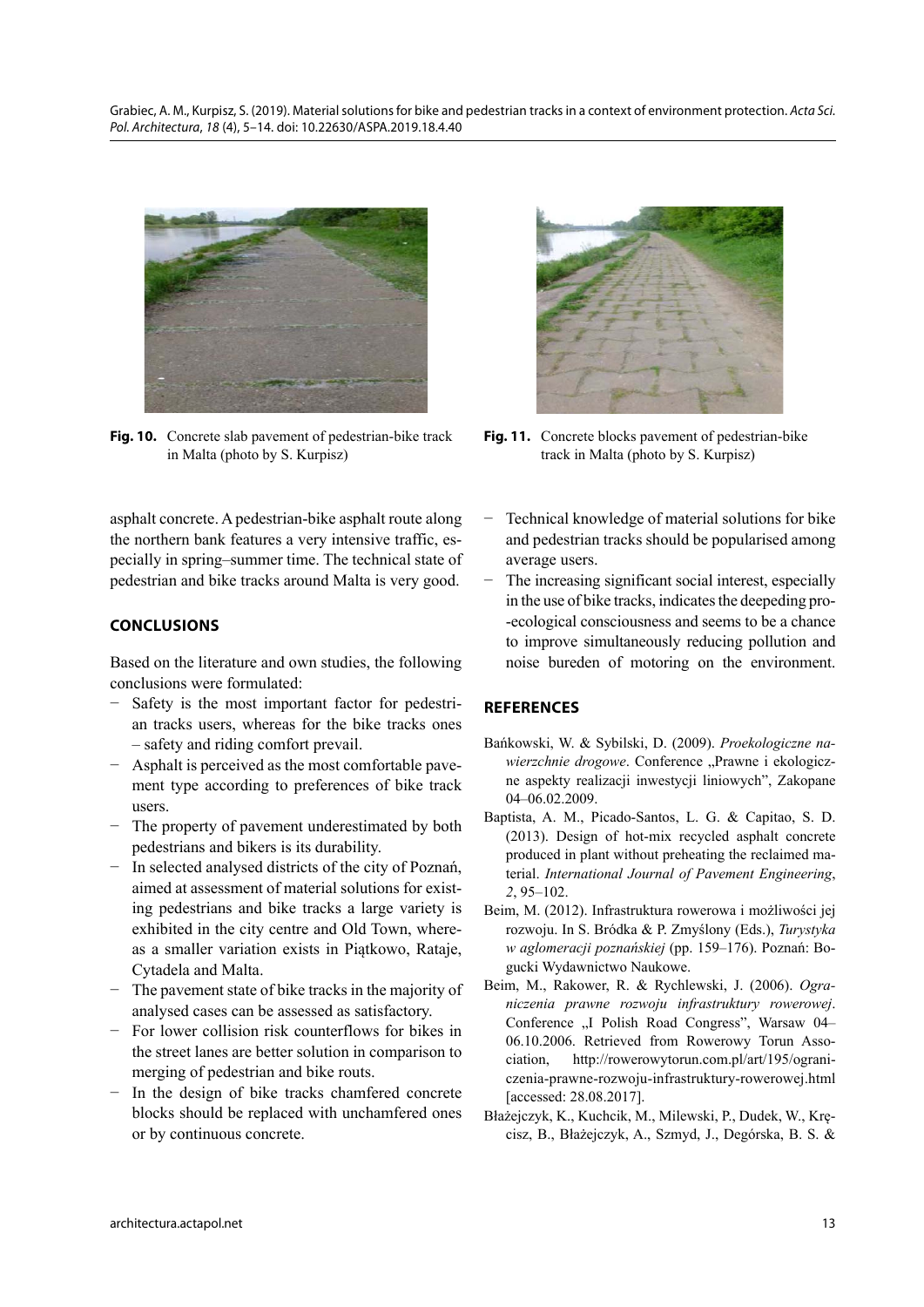

**Fig. 10.** Concrete slab pavement of pedestrian-bike track in Malta (photo by S. Kurpisz)

 asphalt concrete. A pedestrian-bike asphalt route along the northern bank features a very intensive traffic, especially in spring–summer time. The technical state of pedestrian and bike tracks around Malta is very good.

# **CONCLUSIONS**

Based on the literature and own studies, the following conclusions were formulated:

- − Safety is the most important factor for pedestrian tracks users, whereas for the bike tracks ones – safety and riding comfort prevail.
- − Asphalt is perceived as the most comfortable pavement type according to preferences of bike track users.
- − The property of pavement underestimated by both pedestrians and bikers is its durability.
- − In selected analysed districts of the city of Poznań, aimed at assessment of material solutions for existing pedestrians and bike tracks a large variety is exhibited in the city centre and Old Town, whereas a smaller variation exists in Piątkowo, Rataje, Cytadela and Malta.
- − The pavement state of bike tracks in the majority of analysed cases can be assessed as satisfactory.
- For lower collision risk counterflows for bikes in the street lanes are better solution in comparison to merging of pedestrian and bike routs.
- In the design of bike tracks chamfered concrete blocks should be replaced with unchamfered ones or by continuous concrete.



Fig. 11. Concrete blocks pavement of pedestrian-bike track in Malta (photo by S. Kurpisz)

- Technical knowledge of material solutions for bike and pedestrian tracks should be popularised among average users.
- The increasing significant social interest, especially in the use of bike tracks, indicates the deepeding pro- -ecological consciousness and seems to be a chance to improve simultaneously reducing pollution and noise bureden of motoring on the environment.

## **REFERENCES**

- Bańkowski, W. & Sybilski, D. (2009). *Proekologiczne nawierzchnie drogowe*. Conference "Prawne i ekologiczne aspekty realizacji inwestycji liniowych", Zakopane 04–06.02.2009.
- Baptista, A. M., Picado-Santos, L. G. & Capitao, S. D. (2013). Design of hot-mix recycled asphalt concrete produced in plant without preheating the reclaimed material. *International Journal of Pavement Engineering*, *2*, 95–102.
- Beim, M. (2012). Infrastruktura rowerowa i możliwości jej rozwoju. In S. Bródka & P. Zmyślony (Eds.), *Turystyka w aglomeracji poznańskiej* (pp. 159–176). Poznań: Bogucki Wydawnictwo Naukowe.
- Beim, M., Rakower, R. & Rychlewski, J. (2006). *Ograniczenia prawne rozwoju infrastruktury rowerowej*. Conference "I Polish Road Congress", Warsaw 04– 06.10.2006. Retrieved from Rowerowy Torun Association, http://rowerowytorun.com.pl/art/195/ograniczenia-prawne-rozwoju-infrastruktury-rowerowej.html [accessed: 28.08.2017].
- Błażejczyk, K., Kuchcik, M., Milewski, P., Dudek, W., Kręcisz, B., Błażejczyk, A., Szmyd, J., Degórska, B. S. &